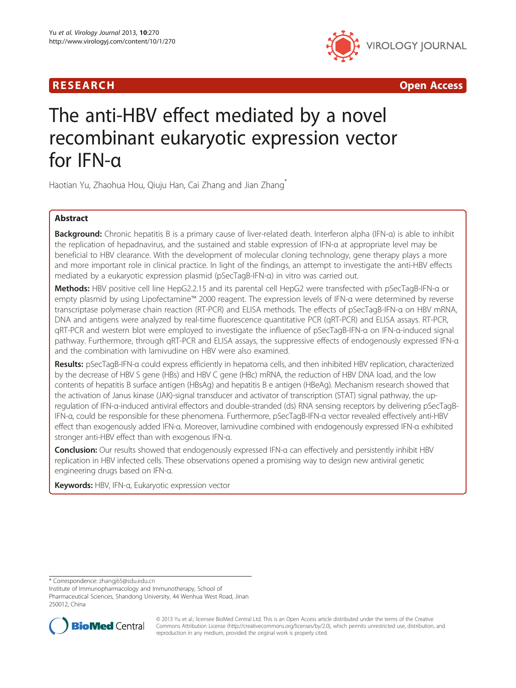# **RESEARCH CHINESEARCH CHINESEARCH CHINESEARCH**



# The anti-HBV effect mediated by a novel recombinant eukaryotic expression vector for IFN-α

Haotian Yu, Zhaohua Hou, Qiuju Han, Cai Zhang and Jian Zhang\*

# Abstract

Background: Chronic hepatitis B is a primary cause of liver-related death. Interferon alpha (IFN-α) is able to inhibit the replication of hepadnavirus, and the sustained and stable expression of IFN-α at appropriate level may be beneficial to HBV clearance. With the development of molecular cloning technology, gene therapy plays a more and more important role in clinical practice. In light of the findings, an attempt to investigate the anti-HBV effects mediated by a eukaryotic expression plasmid (pSecTagB-IFN-α) in vitro was carried out.

Methods: HBV positive cell line HepG2.2.15 and its parental cell HepG2 were transfected with pSecTagB-IFN-α or empty plasmid by using Lipofectamine™ 2000 reagent. The expression levels of IFN-α were determined by reverse transcriptase polymerase chain reaction (RT-PCR) and ELISA methods. The effects of pSecTagB-IFN-α on HBV mRNA, DNA and antigens were analyzed by real-time fluorescence quantitative PCR (qRT-PCR) and ELISA assays. RT-PCR, qRT-PCR and western blot were employed to investigate the influence of pSecTagB-IFN-α on IFN-α-induced signal pathway. Furthermore, through qRT-PCR and ELISA assays, the suppressive effects of endogenously expressed IFN-α and the combination with lamivudine on HBV were also examined.

Results: pSecTagB-IFN-α could express efficiently in hepatoma cells, and then inhibited HBV replication, characterized by the decrease of HBV S gene (HBs) and HBV C gene (HBc) mRNA, the reduction of HBV DNA load, and the low contents of hepatitis B surface antigen (HBsAg) and hepatitis B e antigen (HBeAg). Mechanism research showed that the activation of Janus kinase (JAK)-signal transducer and activator of transcription (STAT) signal pathway, the upregulation of IFN-α-induced antiviral effectors and double-stranded (ds) RNA sensing receptors by delivering pSecTagB-IFN-α, could be responsible for these phenomena. Furthermore, pSecTagB-IFN-α vector revealed effectively anti-HBV effect than exogenously added IFN-α. Moreover, lamivudine combined with endogenously expressed IFN-α exhibited stronger anti-HBV effect than with exogenous IFN-α.

Conclusion: Our results showed that endogenously expressed IFN-α can effectively and persistently inhibit HBV replication in HBV infected cells. These observations opened a promising way to design new antiviral genetic engineering drugs based on IFN-α.

Keywords: HBV, IFN-α, Eukaryotic expression vector

\* Correspondence: [zhangj65@sdu.edu.cn](mailto:zhangj65@sdu.edu.cn)

Institute of Immunopharmacology and Immunotherapy, School of Pharmaceutical Sciences, Shandong University, 44 Wenhua West Road, Jinan 250012, China



© 2013 Yu et al.; licensee BioMed Central Ltd. This is an Open Access article distributed under the terms of the Creative Commons Attribution License [\(http://creativecommons.org/licenses/by/2.0\)](http://creativecommons.org/licenses/by/2.0), which permits unrestricted use, distribution, and reproduction in any medium, provided the original work is properly cited.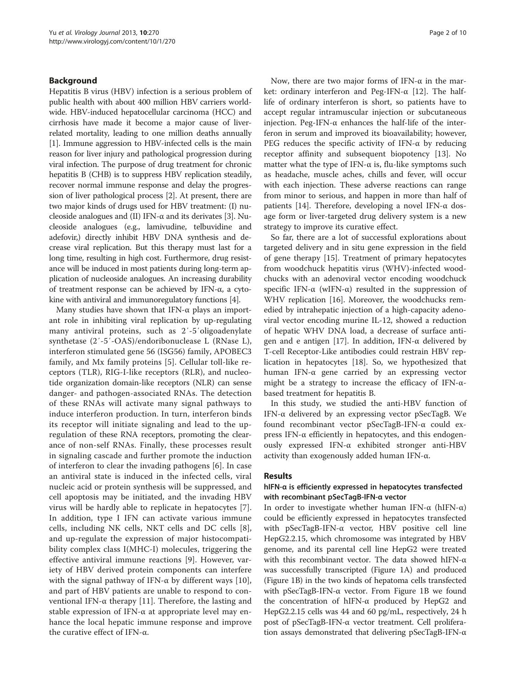# Background

Hepatitis B virus (HBV) infection is a serious problem of public health with about 400 million HBV carriers worldwide. HBV-induced hepatocellular carcinoma (HCC) and cirrhosis have made it become a major cause of liverrelated mortality, leading to one million deaths annually [[1\]](#page-8-0). Immune aggression to HBV-infected cells is the main reason for liver injury and pathological progression during viral infection. The purpose of drug treatment for chronic hepatitis B (CHB) is to suppress HBV replication steadily, recover normal immune response and delay the progression of liver pathological process [\[2](#page-8-0)]. At present, there are two major kinds of drugs used for HBV treatment: (I) nucleoside analogues and (II) IFN- $\alpha$  and its derivates [[3\]](#page-8-0). Nucleoside analogues (e.g., lamivudine, telbuvidine and adefovir,) directly inhibit HBV DNA synthesis and decrease viral replication. But this therapy must last for a long time, resulting in high cost. Furthermore, drug resistance will be induced in most patients during long-term application of nucleoside analogues. An increasing durability of treatment response can be achieved by IFN-α, a cytokine with antiviral and immunoregulatory functions [\[4\]](#page-8-0).

Many studies have shown that IFN- $\alpha$  plays an important role in inhibiting viral replication by up-regulating many antiviral proteins, such as 2′-5′oligoadenylate synthetase (2′-5′-OAS)/endoribonuclease L (RNase L), interferon stimulated gene 56 (ISG56) family, APOBEC3 family, and Mx family proteins [\[5](#page-8-0)]. Cellular toll-like receptors (TLR), RIG-I-like receptors (RLR), and nucleotide organization domain-like receptors (NLR) can sense danger- and pathogen-associated RNAs. The detection of these RNAs will activate many signal pathways to induce interferon production. In turn, interferon binds its receptor will initiate signaling and lead to the upregulation of these RNA receptors, promoting the clearance of non-self RNAs. Finally, these processes result in signaling cascade and further promote the induction of interferon to clear the invading pathogens [\[6](#page-8-0)]. In case an antiviral state is induced in the infected cells, viral nucleic acid or protein synthesis will be suppressed, and cell apoptosis may be initiated, and the invading HBV virus will be hardly able to replicate in hepatocytes [\[7](#page-8-0)]. In addition, type I IFN can activate various immune cells, including NK cells, NKT cells and DC cells [\[8](#page-8-0)], and up-regulate the expression of major histocompatibility complex class I(MHC-I) molecules, triggering the effective antiviral immune reactions [[9\]](#page-8-0). However, variety of HBV derived protein components can interfere with the signal pathway of IFN- $\alpha$  by different ways [[10](#page-8-0)], and part of HBV patients are unable to respond to conventional IFN-α therapy [[11\]](#page-8-0). Therefore, the lasting and stable expression of IFN-α at appropriate level may enhance the local hepatic immune response and improve the curative effect of IFN-α.

Now, there are two major forms of IFN- $\alpha$  in the market: ordinary interferon and Peg-IFN-α [\[12](#page-8-0)]. The halflife of ordinary interferon is short, so patients have to accept regular intramuscular injection or subcutaneous injection. Peg-IFN-α enhances the half-life of the interferon in serum and improved its bioavailability; however, PEG reduces the specific activity of IFN- $\alpha$  by reducing receptor affinity and subsequent biopotency [\[13\]](#page-8-0). No matter what the type of IFN- $\alpha$  is, flu-like symptoms such as headache, muscle aches, chills and fever, will occur with each injection. These adverse reactions can range from minor to serious, and happen in more than half of patients [\[14\]](#page-8-0). Therefore, developing a novel IFN-α dosage form or liver-targeted drug delivery system is a new strategy to improve its curative effect.

So far, there are a lot of successful explorations about targeted delivery and in situ gene expression in the field of gene therapy [[15\]](#page-8-0). Treatment of primary hepatocytes from woodchuck hepatitis virus (WHV)-infected woodchucks with an adenoviral vector encoding woodchuck specific IFN- $\alpha$  (wIFN- $\alpha$ ) resulted in the suppression of WHV replication [\[16](#page-8-0)]. Moreover, the woodchucks remedied by intrahepatic injection of a high-capacity adenoviral vector encoding murine IL-12, showed a reduction of hepatic WHV DNA load, a decrease of surface anti-gen and e antigen [[17\]](#page-8-0). In addition, IFN-α delivered by T-cell Receptor-Like antibodies could restrain HBV replication in hepatocytes [[18](#page-8-0)]. So, we hypothesized that human IFN-α gene carried by an expressing vector might be a strategy to increase the efficacy of IFN- $\alpha$ based treatment for hepatitis B.

In this study, we studied the anti-HBV function of IFN-α delivered by an expressing vector pSecTagB. We found recombinant vector pSecTagB-IFN-α could express IFN-α efficiently in hepatocytes, and this endogenously expressed IFN-α exhibited stronger anti-HBV activity than exogenously added human IFN-α.

# Results

# hIFN-α is efficiently expressed in hepatocytes transfected with recombinant pSecTagB-IFN-α vector

In order to investigate whether human IFN- $\alpha$  (hIFN- $\alpha$ ) could be efficiently expressed in hepatocytes transfected with pSecTagB-IFN-α vector, HBV positive cell line HepG2.2.15, which chromosome was integrated by HBV genome, and its parental cell line HepG2 were treated with this recombinant vector. The data showed hIFN- $\alpha$ was successfully transcripted (Figure [1](#page-2-0)A) and produced (Figure [1B](#page-2-0)) in the two kinds of hepatoma cells transfected with pSecTagB-IFN-α vector. From Figure [1](#page-2-0)B we found the concentration of hIFN-α produced by HepG2 and HepG2.2.15 cells was 44 and 60 pg/mL, respectively, 24 h post of pSecTagB-IFN-α vector treatment. Cell proliferation assays demonstrated that delivering pSecTagB-IFN-α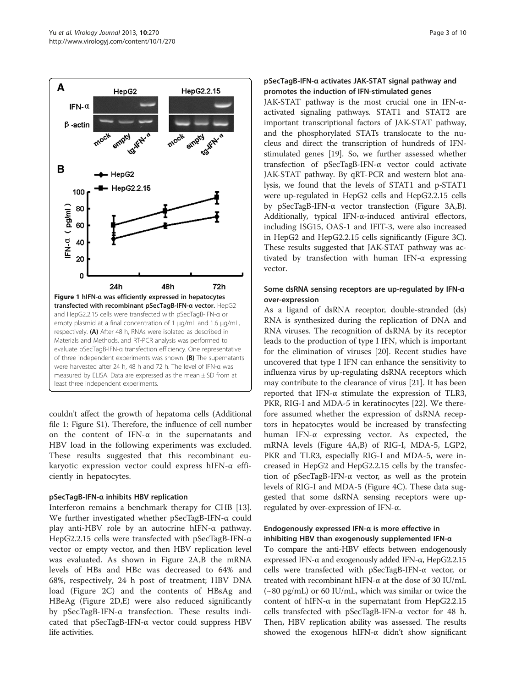<span id="page-2-0"></span>

couldn't affect the growth of hepatoma cells (Additional file [1](#page-7-0): Figure S1). Therefore, the influence of cell number on the content of IFN-α in the supernatants and HBV load in the following experiments was excluded. These results suggested that this recombinant eukaryotic expression vector could express hIFN-α efficiently in hepatocytes.

# pSecTagB-IFN-α inhibits HBV replication

Interferon remains a benchmark therapy for CHB [\[13](#page-8-0)]. We further investigated whether pSecTagB-IFN-α could play anti-HBV role by an autocrine hIFN-α pathway. HepG2.2.15 cells were transfected with pSecTagB-IFN-α vector or empty vector, and then HBV replication level was evaluated. As shown in Figure [2](#page-3-0)A,B the mRNA levels of HBs and HBc was decreased to 64% and 68%, respectively, 24 h post of treatment; HBV DNA load (Figure [2C](#page-3-0)) and the contents of HBsAg and HBeAg (Figure [2D](#page-3-0),E) were also reduced significantly by pSecTagB-IFN-α transfection. These results indicated that pSecTagB-IFN-α vector could suppress HBV life activities.

# pSecTagB-IFN-α activates JAK-STAT signal pathway and promotes the induction of IFN-stimulated genes

JAK-STAT pathway is the most crucial one in IFN-αactivated signaling pathways. STAT1 and STAT2 are important transcriptional factors of JAK-STAT pathway, and the phosphorylated STATs translocate to the nucleus and direct the transcription of hundreds of IFNstimulated genes [\[19\]](#page-8-0). So, we further assessed whether transfection of pSecTagB-IFN-α vector could activate JAK-STAT pathway. By qRT-PCR and western blot analysis, we found that the levels of STAT1 and p-STAT1 were up-regulated in HepG2 cells and HepG2.2.15 cells by pSecTagB-IFN-α vector transfection (Figure [3](#page-4-0)A,B). Additionally, typical IFN-α-induced antiviral effectors, including ISG15, OAS-1 and IFIT-3, were also increased in HepG2 and HepG2.2.15 cells significantly (Figure [3C](#page-4-0)). These results suggested that JAK-STAT pathway was activated by transfection with human IFN-α expressing vector.

# Some dsRNA sensing receptors are up-regulated by IFN-α over-expression

As a ligand of dsRNA receptor, double-stranded (ds) RNA is synthesized during the replication of DNA and RNA viruses. The recognition of dsRNA by its receptor leads to the production of type I IFN, which is important for the elimination of viruses [\[20\]](#page-8-0). Recent studies have uncovered that type I IFN can enhance the sensitivity to influenza virus by up-regulating dsRNA receptors which may contribute to the clearance of virus [\[21](#page-8-0)]. It has been reported that IFN-α stimulate the expression of TLR3, PKR, RIG-I and MDA-5 in keratinocytes [\[22](#page-8-0)]. We therefore assumed whether the expression of dsRNA receptors in hepatocytes would be increased by transfecting human IFN-α expressing vector. As expected, the mRNA levels (Figure [4A](#page-5-0),B) of RIG-I, MDA-5, LGP2, PKR and TLR3, especially RIG-I and MDA-5, were increased in HepG2 and HepG2.2.15 cells by the transfection of pSecTagB-IFN-α vector, as well as the protein levels of RIG-I and MDA-5 (Figure [4C](#page-5-0)). These data suggested that some dsRNA sensing receptors were upregulated by over-expression of IFN-α.

# Endogenously expressed IFN-α is more effective in inhibiting HBV than exogenously supplemented IFN-α

To compare the anti-HBV effects between endogenously expressed IFN-α and exogenously added IFN-α, HepG2.2.15 cells were transfected with pSecTagB-IFN-α vector, or treated with recombinant hIFN-α at the dose of 30 IU/mL (~80 pg/mL) or 60 IU/mL, which was similar or twice the content of hIFN- $\alpha$  in the supernatant from HepG2.2.15 cells transfected with pSecTagB-IFN-α vector for 48 h. Then, HBV replication ability was assessed. The results showed the exogenous hIFN-α didn't show significant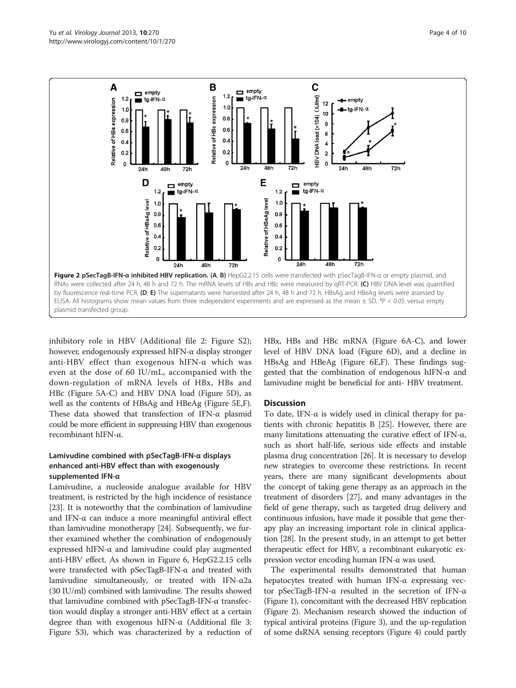<span id="page-3-0"></span>

inhibitory role in HBV (Additional file [2:](#page-7-0) Figure S2); however, endogenously expressed hIFN-α display stronger anti-HBV effect than exogenous hIFN-α which was even at the dose of 60 IU/mL, accompanied with the down-regulation of mRNA levels of HBx, HBs and HBc (Figure [5A](#page-6-0)-C) and HBV DNA load (Figure [5](#page-6-0)D), as well as the contents of HBsAg and HBeAg (Figure [5](#page-6-0)E,F). These data showed that transfection of IFN-α plasmid could be more efficient in suppressing HBV than exogenous recombinant hIFN-α.

# Lamivudine combined with pSecTagB-IFN-α displays enhanced anti-HBV effect than with exogenously supplemented IFN-α

Lamivudine, a nucleoside analogue available for HBV treatment, is restricted by the high incidence of resistance [[23](#page-8-0)]. It is noteworthy that the combination of lamivudine and IFN-α can induce a more meaningful antiviral effect than lamivudine monotherapy [\[24\]](#page-8-0). Subsequently, we further examined whether the combination of endogenously expressed hIFN- $\alpha$  and lamivudine could play augmented anti-HBV effect. As shown in Figure [6](#page-7-0), HepG2.2.15 cells were transfected with pSecTagB-IFN-α and treated with lamivudine simultaneously, or treated with IFN-α2a (30 IU/ml) combined with lamivudine. The results showed that lamivudine combined with pSecTagB-IFN-α transfection would display a stronger anti-HBV effect at a certain degree than with exogenous hIFN-α (Additional file [3](#page-8-0): Figure S3), which was characterized by a reduction of

HBx, HBs and HBc mRNA (Figure [6](#page-7-0)A-C), and lower level of HBV DNA load (Figure [6](#page-7-0)D), and a decline in HBsAg and HBeAg (Figure [6E](#page-7-0),F). These findings suggested that the combination of endogenous hIFN-α and lamivudine might be beneficial for anti- HBV treatment.

# **Discussion**

To date, IFN-α is widely used in clinical therapy for patients with chronic hepatitis B [[25\]](#page-8-0). However, there are many limitations attenuating the curative effect of IFN-α, such as short half-life, serious side effects and instable plasma drug concentration [\[26\]](#page-8-0). It is necessary to develop new strategies to overcome these restrictions. In recent years, there are many significant developments about the concept of taking gene therapy as an approach in the treatment of disorders [\[27\]](#page-8-0), and many advantages in the field of gene therapy, such as targeted drug delivery and continuous infusion, have made it possible that gene therapy play an increasing important role in clinical application [[28](#page-8-0)]. In the present study, in an attempt to get better therapeutic effect for HBV, a recombinant eukaryotic expression vector encoding human IFN-α was used.

The experimental results demonstrated that human hepatocytes treated with human IFN-α expressing vector pSecTagB-IFN-α resulted in the secretion of IFN-α (Figure [1\)](#page-2-0), concomitant with the decreased HBV replication (Figure 2). Mechanism research showed the induction of typical antiviral proteins (Figure [3](#page-4-0)), and the up-regulation of some dsRNA sensing receptors (Figure [4](#page-5-0)) could partly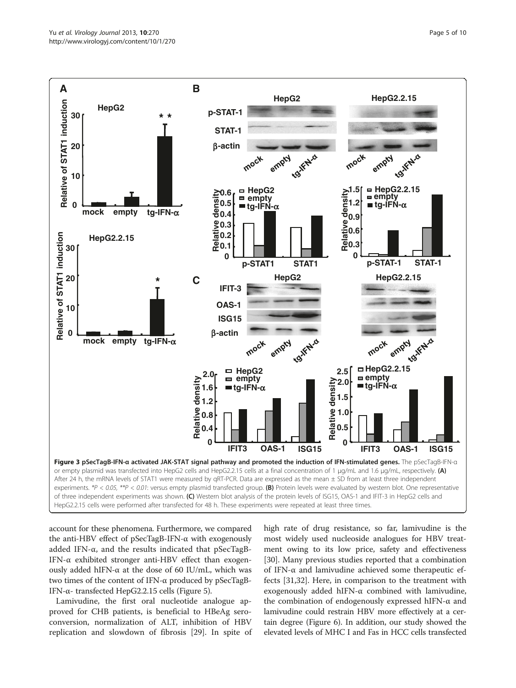<span id="page-4-0"></span>

account for these phenomena. Furthermore, we compared the anti-HBV effect of pSecTagB-IFN-α with exogenously added IFN-α, and the results indicated that pSecTagB-IFN-α exhibited stronger anti-HBV effect than exogenously added hIFN- $\alpha$  at the dose of 60 IU/mL, which was two times of the content of IFN-α produced by pSecTagB-IFN-α- transfected HepG2.2.15 cells (Figure [5\)](#page-6-0).

Lamivudine, the first oral nucleotide analogue approved for CHB patients, is beneficial to HBeAg seroconversion, normalization of ALT, inhibition of HBV replication and slowdown of fibrosis [[29](#page-8-0)]. In spite of high rate of drug resistance, so far, lamivudine is the most widely used nucleoside analogues for HBV treatment owing to its low price, safety and effectiveness [[30\]](#page-8-0). Many previous studies reported that a combination of IFN-α and lamivudine achieved some therapeutic effects [\[31,32\]](#page-8-0). Here, in comparison to the treatment with exogenously added hIFN-α combined with lamivudine, the combination of endogenously expressed hIFN-α and lamivudine could restrain HBV more effectively at a certain degree (Figure [6](#page-7-0)). In addition, our study showed the elevated levels of MHC I and Fas in HCC cells transfected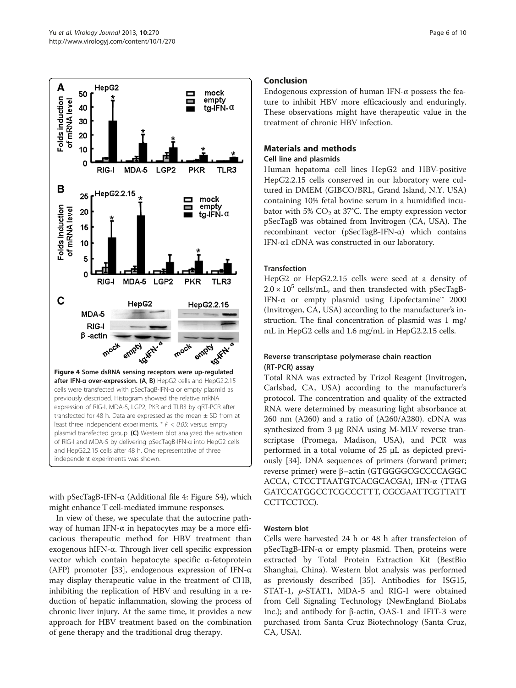<span id="page-5-0"></span>

with pSecTagB-IFN-α (Additional file [4](#page-8-0): Figure S4), which might enhance T cell-mediated immune responses.

In view of these, we speculate that the autocrine pathway of human IFN-α in hepatocytes may be a more efficacious therapeutic method for HBV treatment than exogenous hIFN-α. Through liver cell specific expression vector which contain hepatocyte specific α-fetoprotein (AFP) promoter [[33\]](#page-9-0), endogenous expression of IFN-α may display therapeutic value in the treatment of CHB, inhibiting the replication of HBV and resulting in a reduction of hepatic inflammation, slowing the process of chronic liver injury. At the same time, it provides a new approach for HBV treatment based on the combination of gene therapy and the traditional drug therapy.

# Conclusion

Endogenous expression of human IFN-α possess the feature to inhibit HBV more efficaciously and enduringly. These observations might have therapeutic value in the treatment of chronic HBV infection.

# Materials and methods

## Cell line and plasmids

Human hepatoma cell lines HepG2 and HBV-positive HepG2.2.15 cells conserved in our laboratory were cultured in DMEM (GIBCO/BRL, Grand Island, N.Y. USA) containing 10% fetal bovine serum in a humidified incubator with 5%  $CO<sub>2</sub>$  at 37°C. The empty expression vector pSecTagB was obtained from Invitrogen (CA, USA). The recombinant vector (pSecTagB-IFN-α) which contains IFN-α1 cDNA was constructed in our laboratory.

# Transfection

HepG2 or HepG2.2.15 cells were seed at a density of  $2.0 \times 10^5$  cells/mL, and then transfected with pSecTagB-IFN-α or empty plasmid using Lipofectamine™ 2000 (Invitrogen, CA, USA) according to the manufacturer's instruction. The final concentration of plasmid was 1 mg/ mL in HepG2 cells and 1.6 mg/mL in HepG2.2.15 cells.

# Reverse transcriptase polymerase chain reaction (RT-PCR) assay

Total RNA was extracted by Trizol Reagent (Invitrogen, Carlsbad, CA, USA) according to the manufacturer's protocol. The concentration and quality of the extracted RNA were determined by measuring light absorbance at 260 nm (A260) and a ratio of (A260/A280). cDNA was synthesized from 3 μg RNA using M-MLV reverse transcriptase (Promega, Madison, USA), and PCR was performed in a total volume of 25 μL as depicted previously [[34\]](#page-9-0). DNA sequences of primers (forward primer; reverse primer) were β–actin (GTGGGGCGCCCCAGGC ACCA, CTCCTTAATGTCACGCACGA), IFN-α (TTAG GATCCATGGCCTCGCCCTTT, CGCGAATTCGTTATT CCTTCCTCC).

#### Western blot

Cells were harvested 24 h or 48 h after transfecteion of pSecTagB-IFN-α or empty plasmid. Then, proteins were extracted by Total Protein Extraction Kit (BestBio Shanghai, China). Western blot analysis was performed as previously described [\[35](#page-9-0)]. Antibodies for ISG15, STAT-1, p-STAT1, MDA-5 and RIG-I were obtained from Cell Signaling Technology (NewEngland BioLabs Inc.); and antibody for β-actin, OAS-1 and IFIT-3 were purchased from Santa Cruz Biotechnology (Santa Cruz, CA, USA).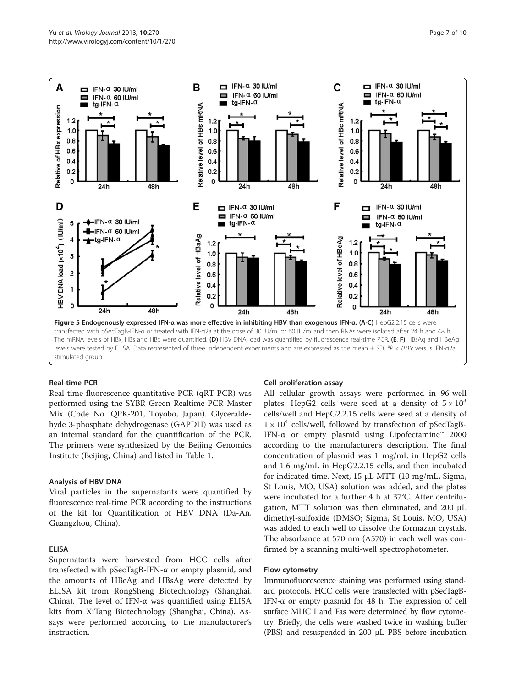<span id="page-6-0"></span>

#### Real-time PCR

Real-time fluorescence quantitative PCR (qRT-PCR) was performed using the SYBR Green Realtime PCR Master Mix (Code No. QPK-201, Toyobo, Japan). Glyceraldehyde 3-phosphate dehydrogenase (GAPDH) was used as an internal standard for the quantification of the PCR. The primers were synthesized by the Beijing Genomics Institute (Beijing, China) and listed in Table [1](#page-7-0).

#### Analysis of HBV DNA

Viral particles in the supernatants were quantified by fluorescence real-time PCR according to the instructions of the kit for Quantification of HBV DNA (Da-An, Guangzhou, China).

#### ELISA

Supernatants were harvested from HCC cells after transfected with pSecTagB-IFN-α or empty plasmid, and the amounts of HBeAg and HBsAg were detected by ELISA kit from RongSheng Biotechnology (Shanghai, China). The level of IFN-α was quantified using ELISA kits from XiTang Biotechnology (Shanghai, China). Assays were performed according to the manufacturer's instruction.

#### Cell proliferation assay

All cellular growth assays were performed in 96-well plates. HepG2 cells were seed at a density of  $5 \times 10^3$ cells/well and HepG2.2.15 cells were seed at a density of  $1 \times 10^4$  cells/well, followed by transfection of pSecTagB-IFN-α or empty plasmid using Lipofectamine™ 2000 according to the manufacturer's description. The final concentration of plasmid was 1 mg/mL in HepG2 cells and 1.6 mg/mL in HepG2.2.15 cells, and then incubated for indicated time. Next, 15 μL MTT (10 mg/mL, Sigma, St Louis, MO, USA) solution was added, and the plates were incubated for a further 4 h at 37°C. After centrifugation, MTT solution was then eliminated, and 200 μL dimethyl-sulfoxide (DMSO; Sigma, St Louis, MO, USA) was added to each well to dissolve the formazan crystals. The absorbance at 570 nm (A570) in each well was confirmed by a scanning multi-well spectrophotometer.

# Flow cytometry

Immunofluorescence staining was performed using standard protocols. HCC cells were transfected with pSecTagB-IFN-α or empty plasmid for 48 h. The expression of cell surface MHC I and Fas were determined by flow cytometry. Briefly, the cells were washed twice in washing buffer (PBS) and resuspended in 200 μL PBS before incubation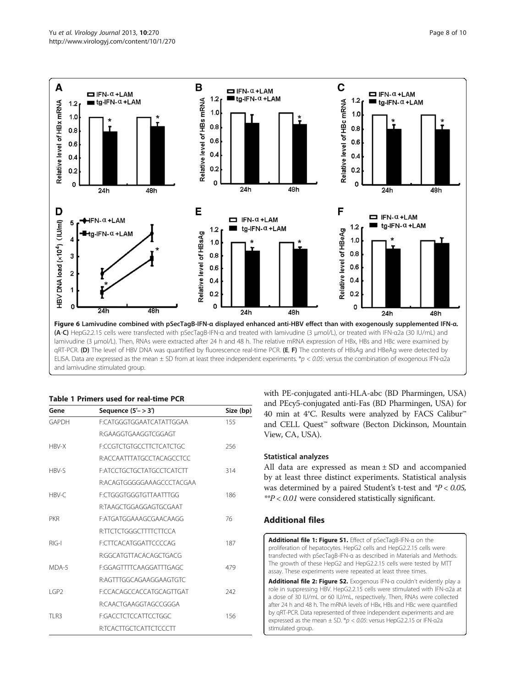<span id="page-7-0"></span>

#### Table 1 Primers used for real-time PCR

| Gene       | Sequence $(5'->3')$              | Size (bp) |
|------------|----------------------------------|-----------|
| GAPDH      | F:CATGGGTGGAATCATATTGGAA         | 155       |
|            | <b>R:GAAGGTGAAGGTCGGAGT</b>      |           |
| HBV-X      | <b>F:CCGTCTGTGCCTTCTCATCTGC</b>  | 256       |
|            | R:ACCAATTTATGCCTACAGCCTCC        |           |
| HBV-S      | <b>F:ATCCTGCTGCTATGCCTCATCTT</b> | 314       |
|            | R:ACAGTGGGGGAAAGCCCTACGAA        |           |
| HBV-C      | F:CTGGGTGGGTGTTAATTTGG           | 186       |
|            | R:TAAGCTGGAGGAGTGCGAAT           |           |
| <b>PKR</b> | F:ATGATGGAAAGCGAACAAGG           | 76        |
|            | R:TTCTCTGGGCTTTTCTTCCA           |           |
| $R$ $G I$  | <b>F:CTTCACATGGATTCCCCAG</b>     | 187       |
|            | R:GGCATGTTACACAGCTGACG           |           |
| MDA-5      | F:GGAGTTTTCAAGGATTTGAGC          | 479       |
|            | R:AGTTTGGCAGAAGGAAGTGTC          |           |
| IGP2       | F:CCACAGCCACCATGCAGTTGAT         | 242       |
|            | R:CAACTGAAGGTAGCCGGGA            |           |
| TI R3      | F:GACCTCTCCATTCCTGGC             | 156       |
|            | R:TCACTTGCTCATTCTCCCTT           |           |

with PE-conjugated anti-HLA-abc (BD Pharmingen, USA) and PEcy5-conjugated anti-Fas (BD Pharmingen, USA) for 40 min at 4°C. Results were analyzed by FACS Calibur™ and CELL Quest™ software (Becton Dickinson, Mountain View, CA, USA).

# Statistical analyzes

All data are expressed as mean ± SD and accompanied by at least three distinct experiments. Statistical analysis was determined by a paired Student's t-test and  $P < 0.05$ ,  $*P < 0.01$  were considered statistically significant.

# Additional files

[Additional file 1: Figure S1.](http://www.biomedcentral.com/content/supplementary/1743-422X-10-270-S1.tiff) Effect of pSecTagB-IFN-α on the proliferation of hepatocytes. HepG2 cells and HepG2.2.15 cells were transfected with pSecTagB-IFN-α as described in [Materials and Methods.](#page-5-0) The growth of these HepG2 and HepG2.2.15 cells were tested by MTT assay. These experiments were repeated at least three times.

[Additional file 2: Figure S2.](http://www.biomedcentral.com/content/supplementary/1743-422X-10-270-S2.tiff) Exogenous IFN-α couldn't evidently play a role in suppressing HBV. HepG2.2.15 cells were stimulated with IFN-α2a at a dose of 30 IU/mL or 60 IU/mL, respectively. Then, RNAs were collected after 24 h and 48 h. The mRNA levels of HBx, HBs and HBc were quantified by qRT-PCR. Data represented of three independent experiments and are expressed as the mean  $\pm$  SD. \*p < 0.05: versus HepG2.2.15 or IFN-a2a stimulated group.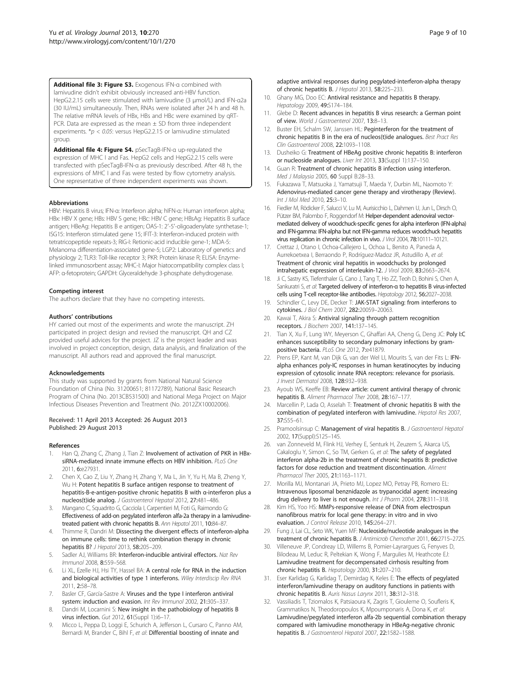<span id="page-8-0"></span>[Additional file 3: Figure S3.](http://www.biomedcentral.com/content/supplementary/1743-422X-10-270-S3.tiff) Exogenous IFN-α combined with lamivudine didn't exhibit obviously increased anti-HBV function. HepG2.2.15 cells were stimulated with lamivudine (3 μmol/L) and IFN-α2a (30 IU/mL) simultaneously. Then, RNAs were isolated after 24 h and 48 h. The relative mRNA levels of HBx, HBs and HBc were examined by qRT-PCR. Data are expressed as the mean  $\pm$  SD from three independent experiments.  $*p < 0.05$ : versus HepG2.2.15 or lamivudine stimulated group.

[Additional file 4: Figure S4.](http://www.biomedcentral.com/content/supplementary/1743-422X-10-270-S4.tiff) pSecTagB-IFN-α up-regulated the expression of MHC I and Fas. HepG2 cells and HepG2.2.15 cells were transfected with pSecTagB-IFN-α as previously described. After 48 h, the expressions of MHC I and Fas were tested by flow cytometry analysis. One representative of three independent experiments was shown.

#### **Abbreviations**

HBV: Hepatitis B virus; IFN-α: Interferon alpha; hIFN-α: Human interferon alpha; HBx: HBV X gene; HBs: HBV S gene; HBc: HBV C gene; HBsAg: Hepatitis B surface antigen; HBeAg: Hepatitis B e antigen; OAS-1: 2′-5′-oligoadenylate synthetase-1; ISG15: Interferon stimulated gene 15; IFIT-3: Interferon-induced protein with tetratricopeptide repeats-3; RIG-I: Retionic-acid inducible gene-1; MDA-5: Melanoma differentiation-associated gene-5; LGP2: Laboratory of genetics and physiology 2; TLR3: Toll-like receptor 3; PKR: Protein kinase R; ELISA: Enzymelinked immunosorbent assay; MHC-I: Major hiatocompatibility complex class I; AFP: α-fetoprotein; GAPDH: Glyceraldehyde 3-phosphate dehydrogenase.

#### Competing interest

The authors declare that they have no competing interests.

#### Authors' contributions

HY carried out most of the experiments and wrote the manuscript. ZH participated in project design and revised the manuscript. QH and CZ provided useful advices for the project. JZ is the project leader and was involved in project conception, design, data analysis, and finalization of the manuscript. All authors read and approved the final manuscript.

#### Acknowledgements

This study was supported by grants from National Natural Science Foundation of China (No. 31200651; 81172789), National Basic Research Program of China (No. 2013CB531500) and National Mega Project on Major Infectious Diseases Prevention and Treatment (No. 2012ZX10002006).

#### Received: 11 April 2013 Accepted: 26 August 2013 Published: 29 August 2013

#### References

- Han Q, Zhang C, Zhang J, Tian Z: Involvement of activation of PKR in HBxsiRNA-mediated innate immune effects on HBV inhibition. PLoS One 2011, 6:e27931.
- 2. Chen X, Cao Z, Liu Y, Zhang H, Zhang Y, Ma L, Jin Y, Yu H, Ma B, Zheng Y, Wu H: Potent hepatitis B surface antigen response to treatment of hepatitis-B-e-antigen-positive chronic hepatitis B with α-interferon plus a nucleos(t)ide analog. J Gastroenterol Hepatol 2012, 27:481–486.
- 3. Mangano C, Squadrito G, Cacciola I, Carpentieri M, Foti G, Raimondo G: Effectiveness of add-on pegylated interferon alfa-2a therapy in a lamivudinetreated patient with chronic hepatitis B. Ann Hepatol 2011, 10:84–87.
- 4. Thimme R, Dandri M: Dissecting the divergent effects of interferon-alpha on immune cells: time to rethink combination therapy in chronic hepatitis B? J Hepatol 2013, 58:205–209.
- Sadler AJ, Williams BR: Interferon-inducible antiviral effectors. Nat Rev Immunol 2008, 8:559–568.
- 6. Li XL, Ezelle HJ, Hsi TY, Hassel BA: A central role for RNA in the induction and biological activities of type 1 interferons. Wiley Interdiscip Rev RNA 2011, 2:58–78.
- 7. Basler CF, García-Sastre A: Viruses and the type I interferon antiviral system: induction and evasion. Int Rev Immunol 2002, 21:305–337.
- Dandri M, Locarnini S: New insight in the pathobiology of hepatitis B virus infection. Gut 2012, 61(Suppl 1):i6-17.
- 9. Micco L, Peppa D, Loggi E, Schurich A, Jefferson L, Cursaro C, Panno AM, Bernardi M, Brander C, Bihl F, et al: Differential boosting of innate and
- 10. Ghany MG, Doo EC: Antiviral resistance and hepatitis B therapy. Hepatology 2009, 49:S174-184.
- 11. Glebe D: Recent advances in hepatitis B virus research: a German point of view. World J Gastroenterol 2007, 13:8–13.
- 12. Buster FH, Schalm SW, Janssen HL: Peginterferon for the treatment of chronic hepatitis B in the era of nucleos(t)ide analogues. Best Pract Res Clin Gastroenterol 2008, 22:1093–1108.
- 13. Dusheiko G: Treatment of HBeAg positive chronic hepatitis B: interferon or nucleoside analogues. Liver Int 2013, 33(Suppl 1):137–150.
- 14. Guan R: Treatment of chronic hepatitis B infection using interferon. Med J Malaysia 2005, 60 Suppl B:28–33.
- 15. Fukazawa T, Matsuoka J, Yamatsuji T, Maeda Y, Durbin ML, Naomoto Y: Adenovirus-mediated cancer gene therapy and virotherapy (Review). Int J Mol Med 2010, 25:3–10.
- 16. Fiedler M, Rödicker F, Salucci V, Lu M, Aurisicchio L, Dahmen U, Jun L, Dirsch O, Pützer BM, Palombo F, Roggendorf M: Helper-dependent adenoviral vectormediated delivery of woodchuck-specific genes for alpha interferon (IFN-alpha) and IFN-gamma: IFN-alpha but not IFN-gamma reduces woodchuck hepatitis virus replication in chronic infection in vivo. J Virol 2004, 78:10111-10121.
- 17. Crettaz J, Otano I, Ochoa-Callejero L, Ochoa L, Benito A, Paneda A, Aurrekoetxea I, Berraondo P, Rodríguez-Madoz JR, Astudillo A, et al: Treatment of chronic viral hepatitis in woodchucks by prolonged intrahepatic expression of interleukin-12. J Virol 2009, 83:2663–2674.
- 18. Ji C, Sastry KS, Tiefenthaler G, Cano J, Tang T, Ho ZZ, Teoh D, Bohini S, Chen A, Sankuratri S, et al: Targeted delivery of interferon-α to hepatitis B virus-infected cells using T-cell receptor-like antibodies. Hepatology 2012, 56:2027–2038.
- 19. Schindler C, Levy DE, Decker T: JAK-STAT signaling: from interferons to cytokines. J Biol Chem 2007, 282:20059–20063.
- 20. Kawai T, Akira S: Antiviral signaling through pattern recognition receptors. J Biochem 2007, 141:137–145.
- 21. Tian X, Xu F, Lung WY, Meyerson C, Ghaffari AA, Cheng G, Deng JC: Poly I:C enhances susceptibility to secondary pulmonary infections by grampositive bacteria. PLoS One 2012, 7:e41879.
- 22. Prens EP, Kant M, van Dijk G, van der Wel LI, Mourits S, van der Fits L: IFNalpha enhances poly-IC responses in human keratinocytes by inducing expression of cytosolic innate RNA receptors: relevance for psoriasis. J Invest Dermatol 2008, 128:932–938.
- 23. Ayoub WS, Keeffe EB: Review article: current antiviral therapy of chronic hepatitis B. Aliment Pharmacol Ther 2008, 28:167–177.
- 24. Marcellin P, Lada O, Asselah T: Treatment of chronic hepatitis B with the combination of pegylated interferon with lamivudine. Hepatol Res 2007, 37:S55–61.
- 25. Pramoolsinsup C: Management of viral hepatitis B. J Gastroenterol Hepatol 2002, 17(Suppl):S125–145.
- 26. van Zonneveld M, Flink HJ, Verhey E, Senturk H, Zeuzem S, Akarca US, Cakaloglu Y, Simon C, So TM, Gerken G, et al: The safety of pegylated interferon alpha-2b in the treatment of chronic hepatitis B: predictive factors for dose reduction and treatment discontinuation. Aliment Pharmacol Ther 2005, 21:1163–1171.
- 27. Morilla MJ, Montanari JA, Prieto MJ, Lopez MO, Petray PB, Romero EL: Intravenous liposomal benznidazole as trypanocidal agent: increasing drug delivery to liver is not enough. Int J Pharm 2004, 278:311-318.
- 28. Kim HS, Yoo HS: MMPs-responsive release of DNA from electrospun nanofibrous matrix for local gene therapy: in vitro and in vivo evaluation. J Control Release 2010, 145:264–271.
- 29. Fung J, Lai CL, Seto WK, Yuen MF: Nucleoside/nucleotide analogues in the treatment of chronic hepatitis B. J Antimicrob Chemother 2011, 66:2715–2725.
- 30. Villeneuve JP, Condreay LD, Willems B, Pomier-Layrargues G, Fenyves D, Bilodeau M, Leduc R, Peltekian K, Wong F, Margulies M, Heathcote EJ: Lamivudine treatment for decompensated cirrhosis resulting from chronic hepatitis B. Hepatology 2000, 31:207–210.
- 31. Eser Karlidag G, Karlidag T, Demirdag K, Keles E: The effects of pegylated interferon/lamivudine therapy on auditory functions in patients with chronic hepatitis B. Auris Nasus Larynx 2011, 38:312–318.
- 32. Vassiliadis T, Tziomalos K, Patsiaoura K, Zagris T, Giouleme O, Soufleris K, Grammatikos N, Theodoropoulos K, Mpoumponaris A, Dona K, et al: Lamivudine/pegylated interferon alfa-2b sequential combination therapy compared with lamivudine monotherapy in HBeAg-negative chronic hepatitis B. J Gastroenterol Hepatol 2007, 22:1582–1588.